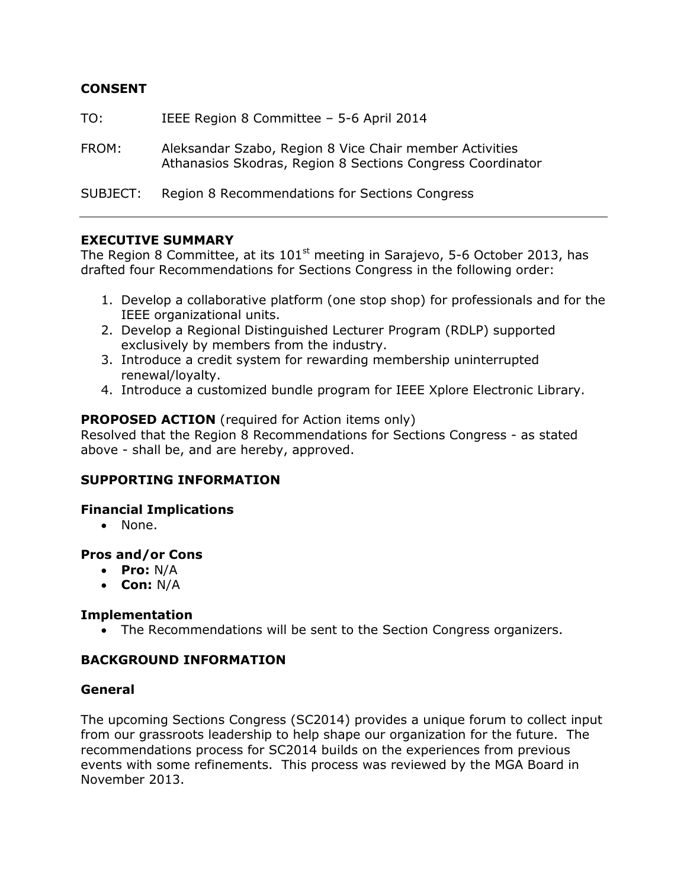# **CONSENT**

TO: IEEE Region 8 Committee – 5-6 April 2014

FROM: Aleksandar Szabo, Region 8 Vice Chair member Activities Athanasios Skodras, Region 8 Sections Congress Coordinator

SUBJECT: Region 8 Recommendations for Sections Congress

## **EXECUTIVE SUMMARY**

The Region 8 Committee, at its 101<sup>st</sup> meeting in Sarajevo, 5-6 October 2013, has drafted four Recommendations for Sections Congress in the following order:

- 1. Develop a collaborative platform (one stop shop) for professionals and for the IEEE organizational units.
- 2. Develop a Regional Distinguished Lecturer Program (RDLP) supported exclusively by members from the industry.
- 3. Introduce a credit system for rewarding membership uninterrupted renewal/loyalty.
- 4. Introduce a customized bundle program for IEEE Xplore Electronic Library.

## **PROPOSED ACTION** (required for Action items only)

Resolved that the Region 8 Recommendations for Sections Congress - as stated above - shall be, and are hereby, approved.

#### **SUPPORTING INFORMATION**

#### **Financial Implications**

• None.

#### **Pros and/or Cons**

- **Pro:** N/A
- **Con:** N/A

# **Implementation**

The Recommendations will be sent to the Section Congress organizers.

# **BACKGROUND INFORMATION**

#### **General**

The upcoming Sections Congress (SC2014) provides a unique forum to collect input from our grassroots leadership to help shape our organization for the future. The recommendations process for SC2014 builds on the experiences from previous events with some refinements. This process was reviewed by the MGA Board in November 2013.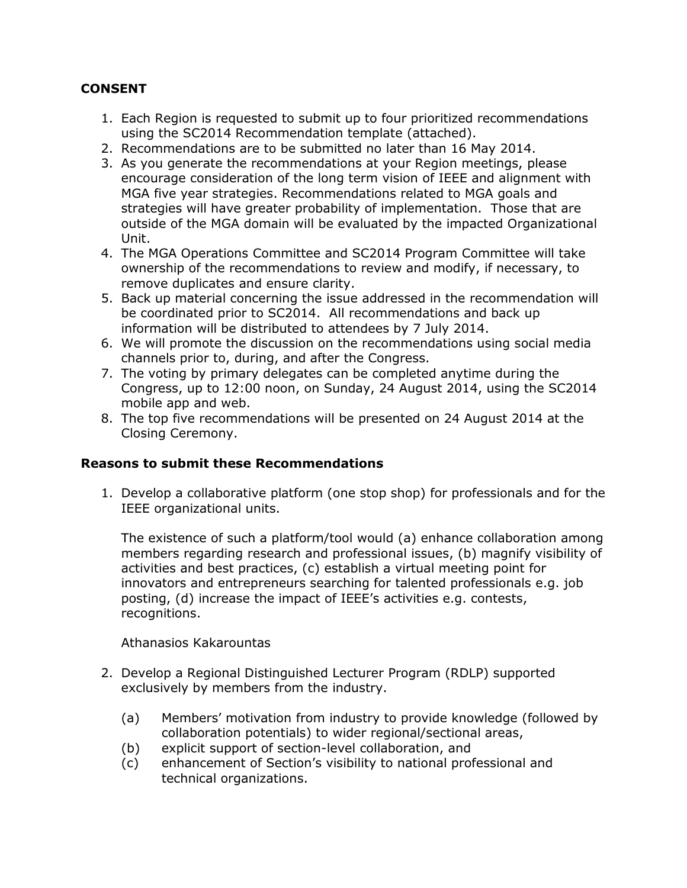# **CONSENT**

- 1. Each Region is requested to submit up to four prioritized recommendations using the SC2014 Recommendation template (attached).
- 2. Recommendations are to be submitted no later than 16 May 2014.
- 3. As you generate the recommendations at your Region meetings, please encourage consideration of the long term vision of IEEE and alignment with MGA five year strategies. Recommendations related to MGA goals and strategies will have greater probability of implementation. Those that are outside of the MGA domain will be evaluated by the impacted Organizational Unit.
- 4. The MGA Operations Committee and SC2014 Program Committee will take ownership of the recommendations to review and modify, if necessary, to remove duplicates and ensure clarity.
- 5. Back up material concerning the issue addressed in the recommendation will be coordinated prior to SC2014. All recommendations and back up information will be distributed to attendees by 7 July 2014.
- 6. We will promote the discussion on the recommendations using social media channels prior to, during, and after the Congress.
- 7. The voting by primary delegates can be completed anytime during the Congress, up to 12:00 noon, on Sunday, 24 August 2014, using the SC2014 mobile app and web.
- 8. The top five recommendations will be presented on 24 August 2014 at the Closing Ceremony.

# **Reasons to submit these Recommendations**

1. Develop a collaborative platform (one stop shop) for professionals and for the IEEE organizational units.

The existence of such a platform/tool would (a) enhance collaboration among members regarding research and professional issues, (b) magnify visibility of activities and best practices, (c) establish a virtual meeting point for innovators and entrepreneurs searching for talented professionals e.g. job posting, (d) increase the impact of IEEE's activities e.g. contests, recognitions.

#### Athanasios Kakarountas

- 2. Develop a Regional Distinguished Lecturer Program (RDLP) supported exclusively by members from the industry.
	- (a) Members' motivation from industry to provide knowledge (followed by collaboration potentials) to wider regional/sectional areas,
	- (b) explicit support of section-level collaboration, and
	- (c) enhancement of Section's visibility to national professional and technical organizations.